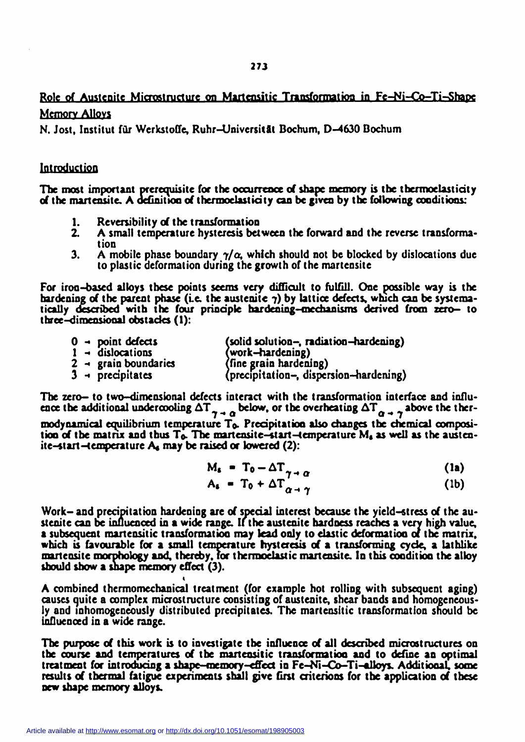# Role of Austenite Microstructure on Martensitic Transformation in Fe-Ni-Co-Ti-Shape Memory Alloys

N. Jost, Institut für Werkstoffe, Ruhr-Universität Bochum, D-4630 Bochum

# Introduction

The most important prerequisite for the occurrence of shape memory is the thermoelasticity of the martensite. A definition of thermoelasticy can be given by the following conditions:

- 1. Reversibility of the transformation<br>2. A small temperature hysteresis bet
- A small temperature hysteresis between the forward and the reverse transformation
- 3. A mobile phase boundary  $\gamma/\alpha$ , which should not be blocked by dislocations due to plastic deformation during the growth of the martensite

For iron-based alloys these points seems very difficult to fulfill. One possible way is the hardening of the parent phase (i.e. the austenite  $\gamma$ ) by lattice defects, which can be systematically described with the four principle hardening-mechanisms derived from zero- to three-dimensional obstacles (1):

| $0 \rightarrow$ point defects    | (solid solution-, radiation-hardening) |
|----------------------------------|----------------------------------------|
| $1 -$ dislocations               | (work-hardening)                       |
| $2 \rightarrow$ grain boundaries | (fine grain hardening)                 |
| $3 -$ precipitates               | (precipitation-, dispersion-hardening) |

The zero- to two-dimensional defects interact with the transformation interface and influence the additional undercooling  $\Delta T_{\gamma \to 0}$  below, or the overheating  $\Delta T_{\alpha \to \gamma}$  above the thermodynamical equilibrium temperature To. Precipitation also changes the chemical composition of the matrix and thus T<sub>o</sub>. The martensite-start-temperature M<sub>s</sub> as well as the austenite-start-temperature  $A_4$  may be raised or lowered (2):

$$
M_s = T_0 - \Delta T_{\gamma \to \alpha} \tag{1a}
$$

$$
A_{s} = T_{0} + \Delta T_{\alpha + \gamma} \tag{1b}
$$

Work- and precipitation hardening are of special interest because the yield-stress of the austenite can be influenced in a wide range. If the austenite hardness reaches a very high value, a subsequent martensitic transformation may lead only to elastic deformation of the matrix, which is favourable for a small temperature hysteresis of a transforming cycle, a lathlike martensite morphology and, thereby, for thermoelastic martensite. In this condition the alloy should show a shape memory effect (3).

**«**  A combined thermomechanical treatment (for example hot rolling with subsequent aging) causes quite a complex microstructure consisting of austenite, shear bands and homogeneously and inhomogeneously distributed precipitates. The martensitic transformation should be influenced in a wide range.

The purpose of this work is to investigate the influence of all described microstructures on the course and temperatures of the martensitic transformation and to define an optimal treatment for introducing a shape-memory-effect in Fe-Ni-Co—Ti-alloys. Additional, some results of thermal fatigue experiments shall give first criterions for the application of these new shape memory alloys.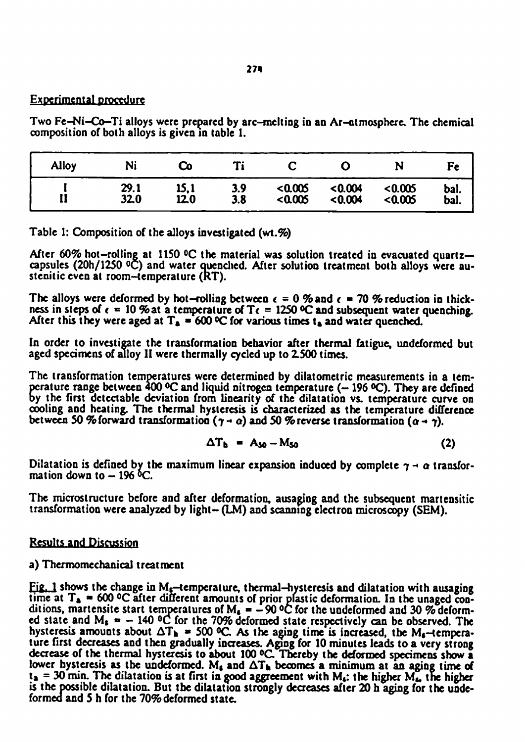# Experimental **procedure**

Two Fe-Ni-Co-Ti alloys were prepared by arc-melting in an Ar-atmosphere. The chemical composition of both alloys is given in table 1.

| <b>Alloy</b> |      |      | T.  |        |         |        |      |
|--------------|------|------|-----|--------|---------|--------|------|
| --           | 29.1 | 15.1 | 3.9 | 0.005  | < 0.004 | <0.005 | bal. |
|              | 32.0 | 12.0 | 3.8 | <0.005 | < 0.004 | <0.005 | bal. |

Table 1: Composition of the alloys investigated (wt.%)

After 60% hot-rolling at 1150 °C the material was solution treated in evacuated quartzcapsules (20h/1250 °C) and water Quenched. After solution treatment both alloys were austenitic even at room-temperature (RT).

The alloys were deformed by hot-rolling between  $\epsilon = 0$  % and  $\epsilon = 70$  % reduction in thickness in steps of  $\epsilon = 10$  % at a temperature of T $\epsilon = 1250$  °C and subsequent water quenching. After this they were aged at  $T_a = 600$  °C for various times t<sub>a</sub> and water quenched.

In order to investigate the transformation behavior after thermal fatigue, undeformed but aged specimens of alloy II were thermally cycled up to 2.500 times.

The transformation temperatures were determined by dilatometric measurements in a temperature range between  $400 \, \text{°C}$  and liquid nitrogen temperature ( $-196 \, \text{°C}$ ). They are defined by the first detectable deviation from linearity of the dilatation vs. temperature curve on cooling and heating. The thermal hysteresis is characterized as the temperature difference between 50 % forward transformation  $(\gamma \rightarrow \alpha)$  and 50 % reverse transformation  $(\alpha \rightarrow \gamma)$ .

$$
\Delta T_{b} = A_{50} - M_{50} \tag{2}
$$

Dilatation is defined by the maximum linear expansion induced by complete  $\gamma \rightarrow \alpha$  transformation down to  $-196$   $\rm{^6C}$ .

The microstructure before and after deformation, ausaging and the subsequent martensitic transformation were analyzed by light- (LM) and scanning electron microscopy (SEM).

# Results and Discussion

# a) Thermomechanical treatment

Fig. 1 shows the change in  $M_s$ -temperature, thermal-hysteresis and dilatation with ausaging time at  $T_a = 600$  °C after different amounts of prior plastic deformation. In the unaged conditions, martensite start temperatures of  $M_s = -90$  °C for the undeformed and 30 % deformed state and  $M_s = -140$  °C for the 70% deformed state respectively can be observed. The hysteresis amounts about  $\Delta T_h$  = 500 °C. As the aging time is increased, the M<sub>s</sub>-temperature first decreases and then gradually increases. Aging for 10 minutes leads to a very strong decrease of the thermal hysteresis to about 100 °C Thereby the deformed specimens show a lower hysteresis as the undeformed. M<sub>s</sub> and  $\Delta T_h$  becomes a minimum at an aging time of  $t_a = 30$  min. The dilatation is at first in good aggreement with  $M_a$ : the higher  $M_a$ , the higher is the possible dilatation. But the dilatation strongly decreases after 20 h aging for the undeformed and 5 h for the 70% deformed state.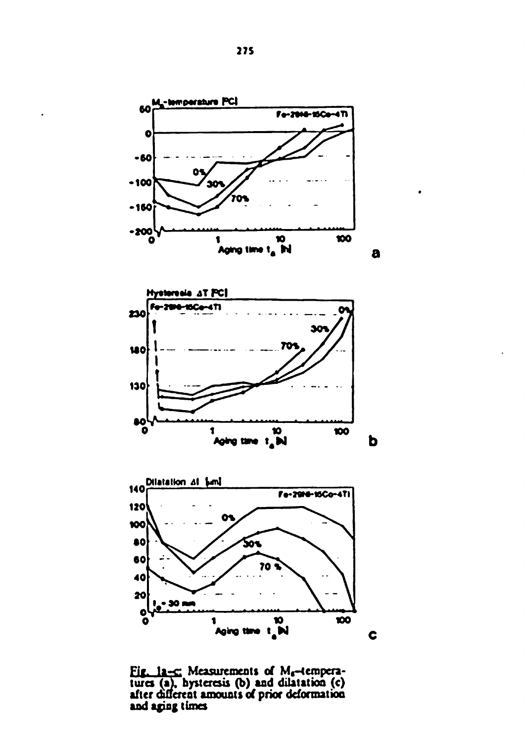

**Fig. 1a-c: Measurements of Mg-temperatures (a), hysteresis (b) and dilatation (c) after different amounts of prior deformation and aging times**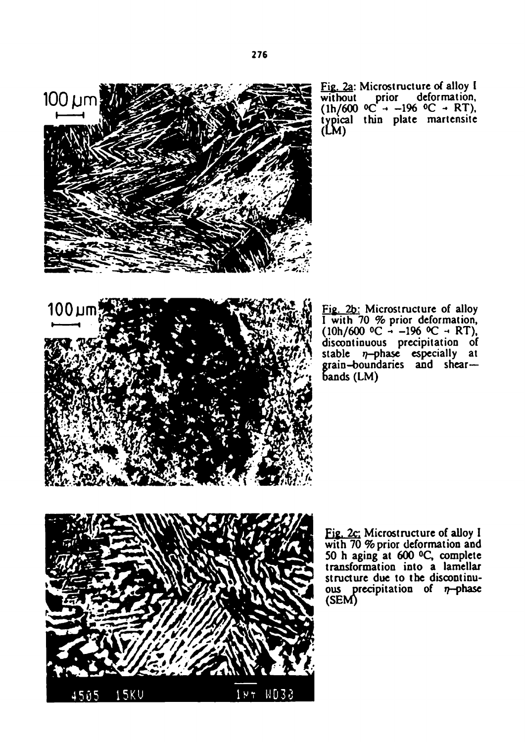

Fig. 2a: Microstructure of alloy I without prior deformation,  $(1h/600 \, ^\circ\text{C} \rightarrow -196 \, ^\circ\text{C} \rightarrow RT),$ typical thin plate martensite  $(LM)$ 

Fig. 2b: Microstructure of alloy I with 70 % prior deformation,  $(10h/600 \degree C - -196 \degree C - RT),$ discontinuous precipitation of stable  $\eta$ -phase especially at grain-boundaries and shearbands (LM)



Fig. 2c: Microstructure of alloy I with 70 % prior deformation and 50 h aging at 600 °Q complete transformation into a lamellar structure due to the discontinuous precipitation of  $\eta$ -phase (SEM)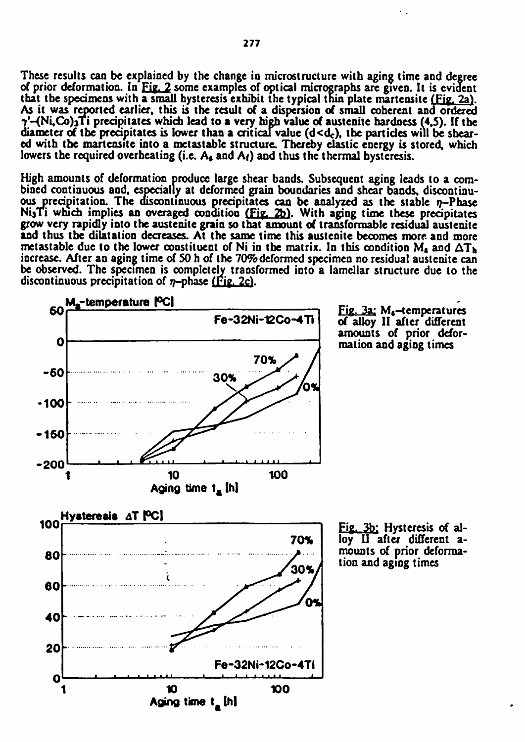These results can be explained by the change in microstructure with aging time and degree of prior deformation. In Fig. 2 some examples of optical micrographs are given. It is evident that the specimens with a small hysteresis exhibit the typical thin plate martensite (Fig. 2a). As it was reported earlier, this is the result of a dispersion of small coherent and ordered y'-(Ni,Co**)3T**i precipitates which lead to a very high value of austenite hardness (4,5). If the diameter of the precipitates is lower than a critical value  $(d < d<sub>c</sub>)$ , the particles will be sheared with the martensite into a metastable structure. Thereby elastic energy is stored, which lowers the required overheating (i.e.  $A_{\beta}$  and  $A_{\beta}$ ) and thus the thermal hysteresis.

High amounts of deformation produce large shear bands. Subsequent aging leads to a combined continuous and, especially at deformed grain boundaries and shear bands, discontinuous precipitation. The discontinuous precipitates can be analyzed as the stable  $\eta$ -Phase NijTi which implies an overaged condition (Fig. *2b).* With aging time these precipitates grow very rapidly into the austenite grain so that amount of transformable residual austenite and thus the dilatation decreases. At the same time this austenite becomes more and more metastable due to the lower constituent of Ni in the matrix. In this condition  $M_s$  and  $\Delta T_b$ increase. After an aging time of SO h of the 70% deformed specimen no residual austenite can be observed. The specimen is completely transformed into a lamellar structure due to the discontinuous precipitation of  $n$ -phase (Fig. 2c).

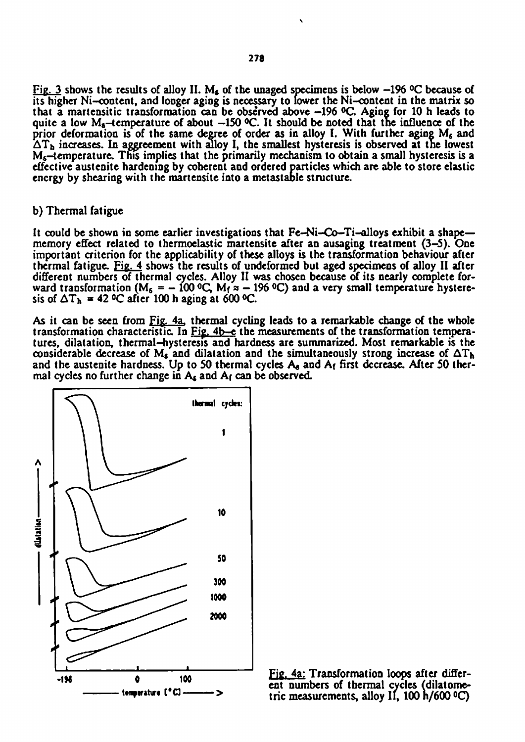Fig. **3** shows the results of alloy II. *Mg* of the unaged specimens is below **-196 °C** because of its higher Ni-content, and longer aging is necessary to lower the Ni-content in the matrix so that a martensitic transformation can be observed above **-196 °C.** Aging for **10** h leads to quite a low **Ms**-temperature of about **—150 °C.** It should be noted that the influence of the prior deformation is of the same degree of order as in alloy I. With further aging M<sub>s</sub> and  $\Delta T_h$  increases. In aggreement with alloy I, the smallest hysteresis is observed at the lowest **Mg**-temperature. This implies that the primarily mechanism to obtain a small hysteresis is a effective austenite hardening by coherent and ordered particles which are able to store elastic energy by shearing with the martensite into a metastable structure.

#### b) Thermal fatigue

It could be shown in some earlier investigations that Fe-Ni-Co-Ti-alloys exhibit a shapememory effect related to thermoelastic martensite after an ausaging treatment **(3-5).** One important criterion for the applicability of these alloys is the transformation behaviour after thermal fatigue. Fig. 4 shows the results of undeformed but aged specimens of alloy II after different numbers of thermal cycles. Alloy II was chosen because of its nearly complete forward transformation **(M<sup>s</sup> = - 100 °C,** Mf = - **196 °C)** and a very small temperature hysteresis of  $\Delta T_h$  = 42 °C after 100 h aging at 600 °C.

As it can be seen from Fig. 4a. thermal cycling leads to a remarkable change of the whole transformation characteristic In Fig. 4b-c the measurements of the transformation temperatures, dilatation, thermal-hysteresis and hardness are summarized. Most remarkable is the considerable decrease of  $M_s$  and dilatation and the simultaneously strong increase of  $\Delta T_h$ and the austenite hardness. Up to **50** thermal cycles As and Af first decrease. After **50** thermal cycles no further change in  $A_k$  and  $A_l$  can be observed.



Fig. 4a: Transformation loops after different numbers of thermal cycles (dilatometric measurements, alloy II, 100 h/600 °C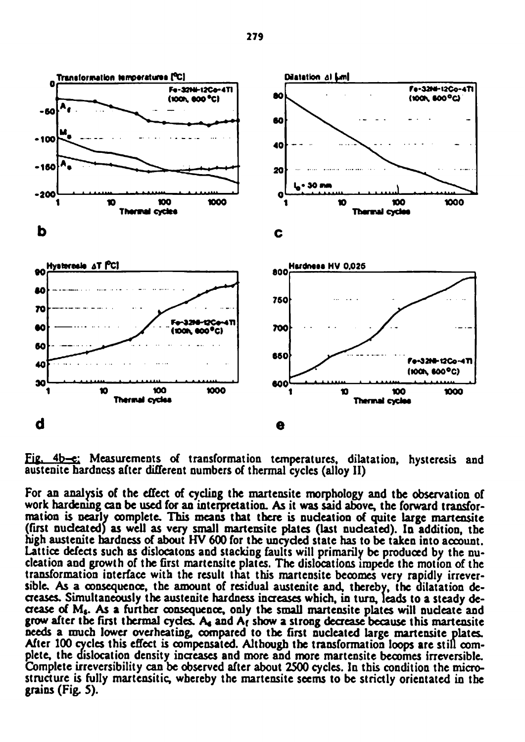

Fig. 4b-e: Measurements of transformation temperatures, dilatation, hysteresis and austenite hardness after different numbers of thermal cycles (alloy II)

For an analysis of the effect of cycling the martensite morphology and the observation of work hardening can be used for an interpretation. As it was said above, the forward transformation is nearly complete. This means that there is nucleation of quite large martensite (first nucleated) as well as very small martensite plates (last nucleated). In addition, the high austenite hardness of about HV 600 for the uncyded state has to be taken into account. Lattice defects such as dislocatons and stacking faults will primarily be produced by the nudeation and growth of the first martensite plates. The dislocations impede the motion of the transformation interface with the result that this martensite becomes very rapidly irreversible. As a consequence, the amount of residual austenite and, thereby, the dilatation decreases. Simultaneously the austenite hardness increases which, in turn, leads to a steady decrease of Mg. As a further consequence, only the small martensite plates will nucleate and grow after the first thermal cycles.  $A_4$  and  $A_f$  show a strong decrease because this martensite needs a much lower overheating, compared to the first nucleated large martensite plates. After 100 cycles this effect is compensated. Although the transformation loops are still complete, the dislocation density increases and more and more martensite becomes irreversible. Complete irreversibility can be observed after about 2500 cycles. In this condition the microstructure is fully martensitic, whereby the martensite seems to be strictly orientated in the grains (Fig. 5).

**279**